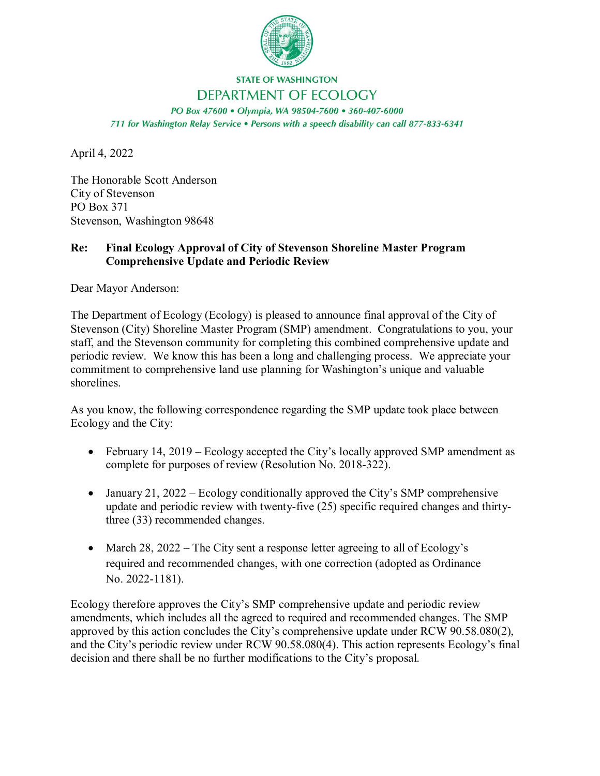

## **STATE OF WASHINGTON** DEPARTMENT OF ECOLOGY

PO Box 47600 · Olympia, WA 98504-7600 · 360-407-6000 711 for Washington Relay Service . Persons with a speech disability can call 877-833-6341

April 4, 2022

The Honorable Scott Anderson City of Stevenson PO Box 371 Stevenson, Washington 98648

## **Re: Final Ecology Approval of City of Stevenson Shoreline Master Program Comprehensive Update and Periodic Review**

Dear Mayor Anderson:

The Department of Ecology (Ecology) is pleased to announce final approval of the City of Stevenson (City) Shoreline Master Program (SMP) amendment. Congratulations to you, your staff, and the Stevenson community for completing this combined comprehensive update and periodic review. We know this has been a long and challenging process. We appreciate your commitment to comprehensive land use planning for Washington's unique and valuable shorelines.

As you know, the following correspondence regarding the SMP update took place between Ecology and the City:

- February 14, 2019 Ecology accepted the City's locally approved SMP amendment as complete for purposes of review (Resolution No. 2018-322).
- January 21, 2022 Ecology conditionally approved the City's SMP comprehensive update and periodic review with twenty-five (25) specific required changes and thirtythree (33) recommended changes.
- March 28, 2022 The City sent a response letter agreeing to all of Ecology's required and recommended changes, with one correction (adopted as Ordinance No. 2022-1181).

Ecology therefore approves the City's SMP comprehensive update and periodic review amendments, which includes all the agreed to required and recommended changes. The SMP approved by this action concludes the City's comprehensive update under RCW 90.58.080(2), and the City's periodic review under RCW 90.58.080(4). This action represents Ecology's final decision and there shall be no further modifications to the City's proposal.